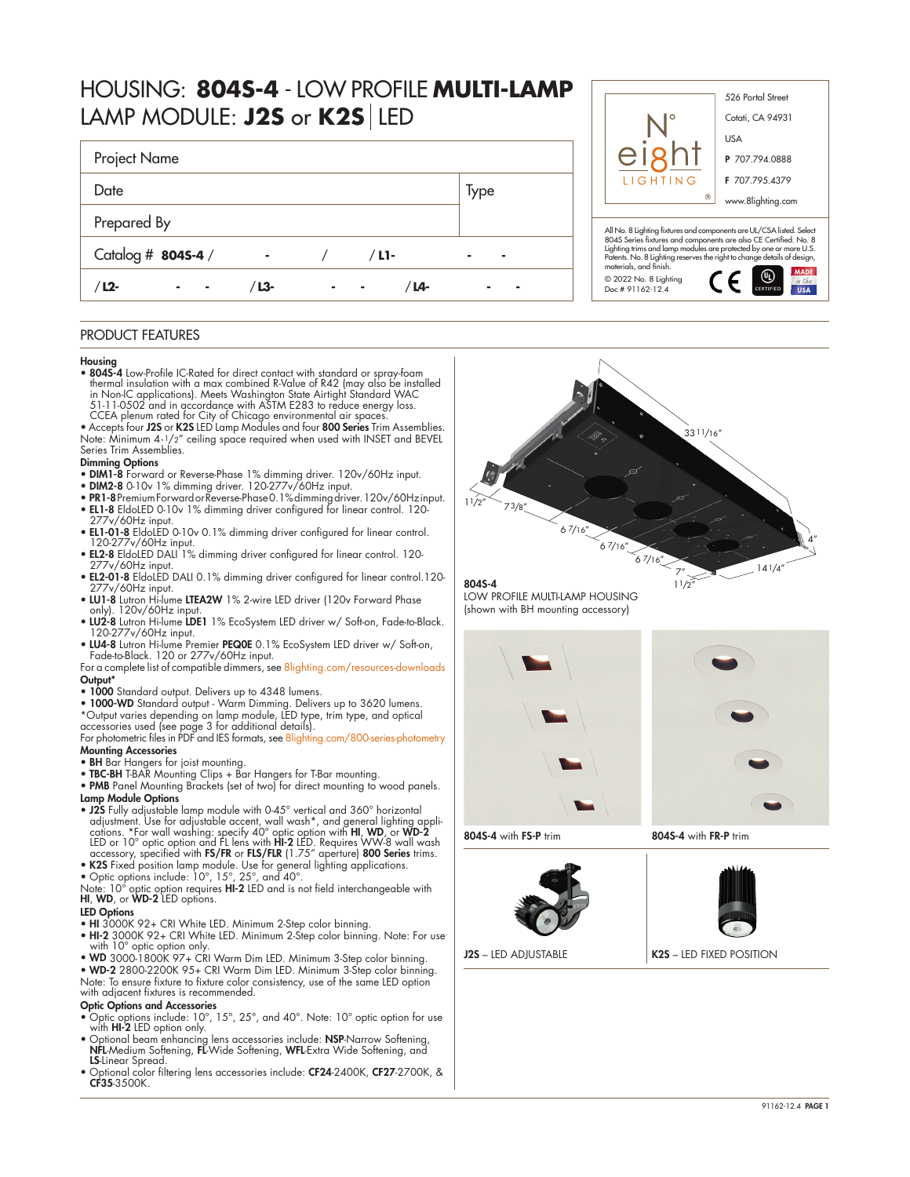# HOUSING: **804S-4** - LOW PROFILE **MULTI-LAMP** LAMP MODULE: **J2S** or **K2S** LED

| Project Name       |       |         |      |
|--------------------|-------|---------|------|
| Date               |       |         | Type |
| Prepared By        |       |         |      |
| Catalog # 8045-4 / | ٠     | $/L1$ - |      |
| $L2$ -             | / L3- | ′ L4-   |      |



# PRODUCT FEATURES

### Housing

- 804S-4 Low-Profile IC-Rated for direct contact with standard or spray-foam thermal insulation with a max combined R-Value of R42 (may also be installed<br>in Non-IC applications). Meets Washington State Airtight Standard WAC<br>51-11-0502 and in accordance with ASTM E283 to reduce energy loss. CCEA plenum rated for City of Chicago environmental air spaces.
- Accepts four J2S or K2S LED Lamp Modules and four 800 Series Trim Assemblies. Note: Minimum 4-1/2" ceiling space required when used with INSET and BEVEL Series Trim Assemblies.

#### Dimming Options

- DIM1-8 Forward or Reverse-Phase 1% dimming driver. 120v/60Hz input.
- DIM2-8 0-10v 1% dimming driver. 120-277v/60Hz input.
- PR1-8 Premium Forward or Reverse-Phase 0.1% dimming driver. 120v/60Hz input. • EL1-8 EldoLED 0-10v 1% dimming driver configured for linear control. 120-
- 277v/60Hz input. • EL1-01-8 EldoLED 0-10v 0.1% dimming driver configured for linear control.
- 120-277v/60Hz input. EL2-8 EldoLED DALI 1% dimming driver configured for linear control. 120-
- 277v/60Hz input.
- EL2-01-8 EldoLED DALI 0.1% dimming driver configured for linear control.120- 277v/60Hz input.
- LU1-8 Lutron Hi-lume LTEA2W 1% 2-wire LED driver (120v Forward Phase only). 120v/60Hz input.
- LU2-8 Lutron Hi-lume LDE1 1% EcoSystem LED driver w/ Soft-on, Fade-to-Black. 120-277v/60Hz input.
- LU4-8 Lutron Hi-lume Premier PEQ0E 0.1% EcoSystem LED driver w/ Soft-on, Fade-to-Black. 120 or 277v/60Hz input.
- For a complete list of compatible dimmers, see [8lighting.com/resources-downloads](https://8lighting.com/resources-downloads/) Output<sup>\*</sup>
- 1000 Standard output. Delivers up to 4348 lumens.
- 1000-WD Standard output Warm Dimming. Delivers up to 3620 lumens.<br>\*Output varies depending on lamp module, LED type, trim type, and optical<br>accessories used (see page 3 for additional details).<br>For photometric files in

Mounting Accessories

- BH Bar Hangers for joist mounting.
- TBC-BH T-BAR Mounting Clips + Bar Hangers for T-Bar mounting.
- PMB Panel Mounting Brackets (set of two) for direct mounting to wood panels. Lamp Module Options
- J2S Fully adjustable lamp module with 0-45° vertical and 360° horizontal<br>adjustment. Use for adjustable accent, wall wash\*, and general lighting appli-<br>cations. \*For wall washing: specify 40° optic option with **HI, WD,**
- 
- 

• K2S Fixed position lamp module. Use for general lighting applications.<br>• Optic options include: 10°, 15°, 25°, and 40°.<br>Note: 10° optic option requires HI-2 LED and is not field interchangeable with<br>HI, WD, or WD-2 LED o

# LED Options

- HI 3000K 92+ CRI White LED. Minimum 2-Step color binning.
- HI-2 3000K 92+ CRI White LED. Minimum 2-Step color binning. Note: For use with 10° optic option only.
- WD 3000-1800K 97+ CRI Warm Dim LED. Minimum 3-Step color binning.
- WD-2 2800-2200K 95+ CRI Warm Dim LED. Minimum 3-Step color binning.

Note: To ensure fixture to fixture color consistency, use of the same LED option with adjacent fixtures is recommended.

### Optic Options and Accessories

- Optic options include: 10°, 15°, 25°, and 40°. Note: 10° optic option for use with **HI-2** LED option only.<br>• Optional beam enhancing lens accessories include: **NSP**-Narrow Softening,
- NFL-Medium Softening, FL-Wide Softening, WFL-Extra Wide Softening, and LS-Linear Spread.
- Optional color filtering lens accessories include: CF24-2400K, CF27-2700K, & CF35-3500K.



11/2"

804S-4

LOW PROFILE MULTI-LAMP HOUSING (shown with BH mounting accessory)





804S-4 with FS-P trim 804S-4 with FR-P trim



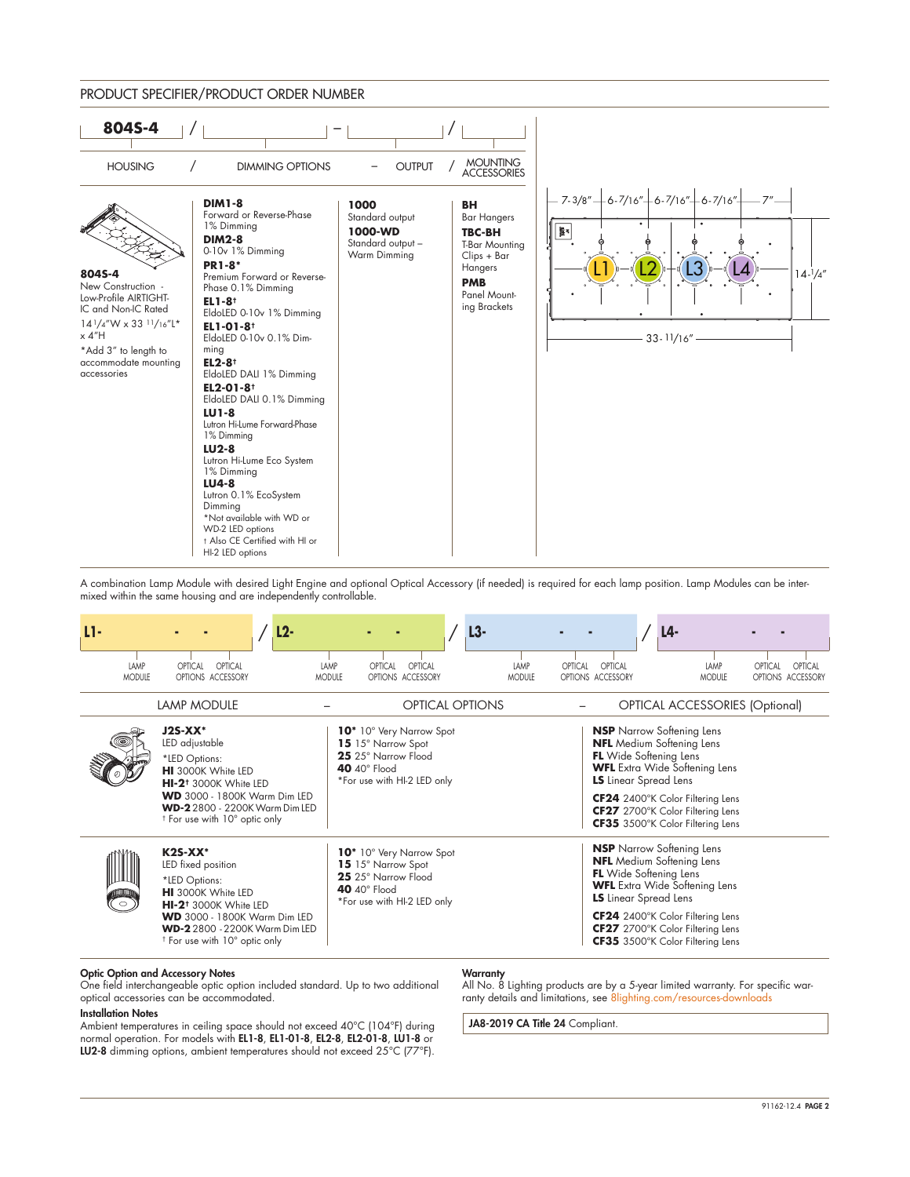

A combination Lamp Module with desired Light Engine and optional Optical Accessory (if needed) is required for each lamp position. Lamp Modules can be intermixed within the same housing and are independently controllable.

| LI-                   |                                                                                                                                                                                                                                                 | L2-                   |                                                                                                                                         | $L3-$                 |                                                                                                                                       | L4-                                                                                                                                              |                                         |
|-----------------------|-------------------------------------------------------------------------------------------------------------------------------------------------------------------------------------------------------------------------------------------------|-----------------------|-----------------------------------------------------------------------------------------------------------------------------------------|-----------------------|---------------------------------------------------------------------------------------------------------------------------------------|--------------------------------------------------------------------------------------------------------------------------------------------------|-----------------------------------------|
| LAMP<br><b>MODULE</b> | OPTICAL<br>OPTICAL<br>OPTIONS ACCESSORY                                                                                                                                                                                                         | LAMP<br><b>MODULE</b> | OPTICAL<br>OPTICAL<br>OPTIONS ACCESSORY                                                                                                 | LAMP<br><b>MODULE</b> | OPTICAL<br>OPTICAL<br>OPTIONS ACCESSORY                                                                                               | LAMP<br><b>MODULE</b>                                                                                                                            | OPTICAL<br>OPTICAL<br>OPTIONS ACCESSORY |
|                       | LAMP MODULE                                                                                                                                                                                                                                     |                       | <b>OPTICAL OPTIONS</b>                                                                                                                  |                       |                                                                                                                                       | OPTICAL ACCESSORIES (Optional)                                                                                                                   |                                         |
|                       | $J2S-XX*$<br>LED adjustable<br>*LED Options:<br><b>HI</b> 3000K White LED<br>HI-2 <sup>t</sup> 3000K White LED<br><b>WD</b> 3000 - 1800K Warm Dim LED<br><b>WD-2</b> 2800 - 2200K Warm Dim LED<br><sup>†</sup> For use with 10° optic only      |                       | 10 <sup>*</sup> 10° Very Narrow Spot<br>15 15° Narrow Spot<br>25 25° Narrow Flood<br>40 $40^\circ$ Flood<br>*For use with HI-2 LED only |                       | <b>NSP</b> Narrow Softening Lens<br><b>NFL</b> Medium Softening Lens<br><b>FL</b> Wide Softening Lens<br><b>LS</b> Linear Spread Lens | <b>WFL</b> Extra Wide Softening Lens<br>CF24 2400°K Color Filtering Lens<br>CF27 2700°K Color Filtering Lens<br>CF35 3500°K Color Filtering Lens |                                         |
| ີ໐ີ                   | $K2S-XX^*$<br>LED fixed position<br>*LED Options:<br><b>HI</b> 3000K White LED<br>HI-2 <sup>†</sup> 3000K White LED<br><b>WD</b> 3000 - 1800K Warm Dim LED<br><b>WD-2</b> 2800 - 2200K Warm Dim LED<br><sup>†</sup> For use with 10° optic only |                       | 10 <sup>*</sup> 10° Very Narrow Spot<br>15 15° Narrow Spot<br>25 25° Narrow Flood<br>40 $40^\circ$ Flood<br>*For use with HI-2 LED only |                       | <b>NSP</b> Narrow Softening Lens<br><b>NFL</b> Medium Softening Lens<br><b>FL</b> Wide Softening Lens<br><b>LS</b> Linear Spread Lens | <b>WFL</b> Extra Wide Softening Lens<br>CF24 2400°K Color Filtering Lens<br>CF27 2700°K Color Filtering Lens<br>CF35 3500°K Color Filtering Lens |                                         |

#### Optic Option and Accessory Notes

One field interchangeable optic option included standard. Up to two additional optical accessories can be accommodated.

#### Installation Notes

Ambient temperatures in ceiling space should not exceed 40°C (104°F) during normal operation. For models with EL1-8, EL1-01-8, EL2-8, EL2-01-8, LU1-8 or LU2-8 dimming options, ambient temperatures should not exceed 25°C (77°F).

#### **Warranty**

All No. 8 Lighting products are by a 5-year limited warranty. For specific warranty details and limitations, see [8lighting.com/resources-downloads](https://8lighting.com/resources-downloads/)

JA8-2019 CA Title 24 Compliant.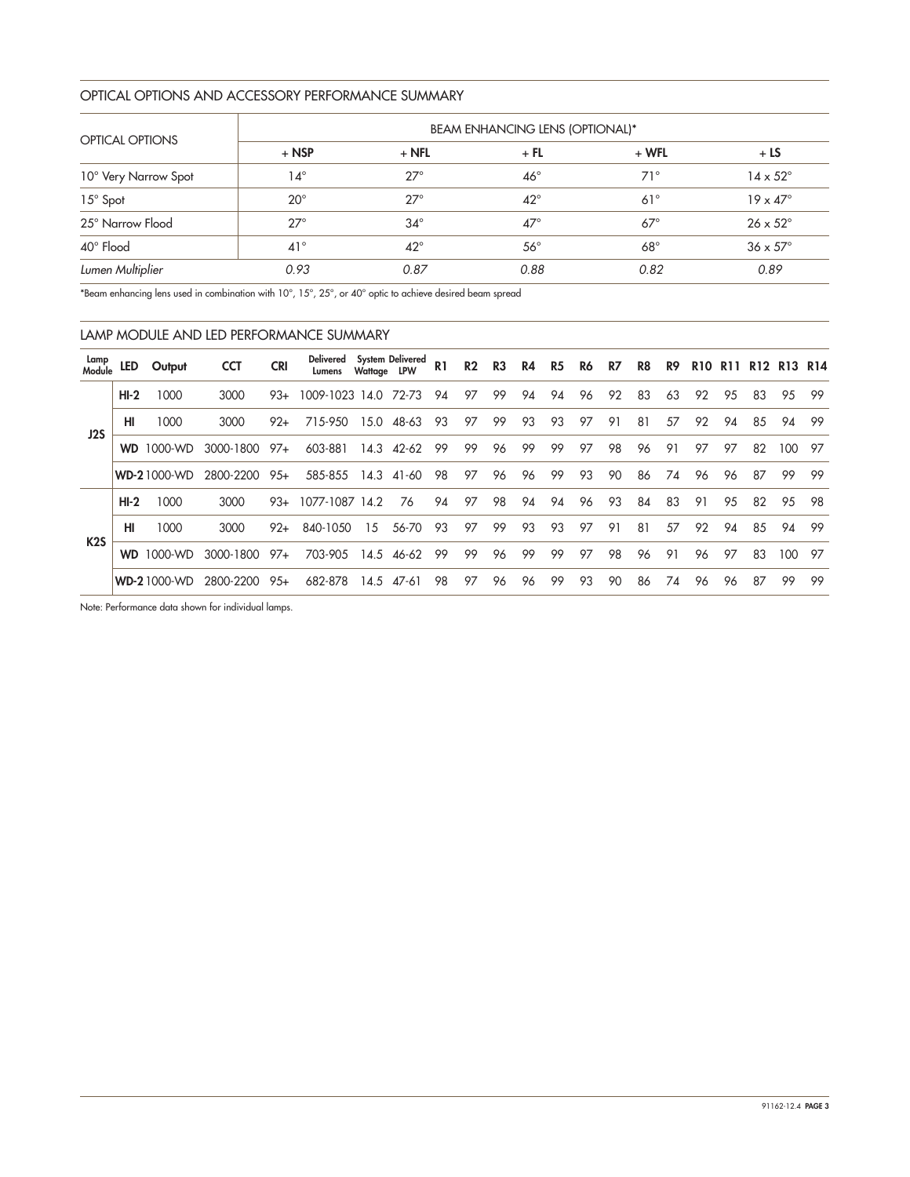## OPTICAL OPTIONS AND ACCESSORY PERFORMANCE SUMMARY

|                        | <b>BEAM ENHANCING LENS (OPTIONAL)*</b> |              |              |              |                        |  |  |  |  |  |  |  |
|------------------------|----------------------------------------|--------------|--------------|--------------|------------------------|--|--|--|--|--|--|--|
| <b>OPTICAL OPTIONS</b> | $+$ NSP                                | $+$ NFL      | $+$ FL       | $+ WFL$      | $+LS$                  |  |  |  |  |  |  |  |
| 10° Very Narrow Spot   | 14°                                    | $27^\circ$   | $46^{\circ}$ | $71^{\circ}$ | $14 \times 52^{\circ}$ |  |  |  |  |  |  |  |
| $15^\circ$ Spot        | $20^{\circ}$                           | $27^\circ$   | $42^{\circ}$ | $61^\circ$   | $19 \times 47^\circ$   |  |  |  |  |  |  |  |
| 25° Narrow Flood       | $27^\circ$                             | $34^\circ$   | $47^\circ$   | $67^\circ$   | $26 \times 52^{\circ}$ |  |  |  |  |  |  |  |
| 40° Flood              | $41^{\circ}$                           | $42^{\circ}$ | $56^{\circ}$ | $68^\circ$   | $36 \times 57^\circ$   |  |  |  |  |  |  |  |
| Lumen Multiplier       | 0.93                                   | 0.87         | 0.88         | 0.82         | 0.89                   |  |  |  |  |  |  |  |

\*Beam enhancing lens used in combination with 10°, 15°, 25°, or 40° optic to achieve desired beam spread

|                  | LAMP MODULE AND LED PERFORMANCE SUMMARY |                    |            |            |                            |             |                  |                |                |                |    |                |    |    |    |    |            |            |                 |         |     |
|------------------|-----------------------------------------|--------------------|------------|------------|----------------------------|-------------|------------------|----------------|----------------|----------------|----|----------------|----|----|----|----|------------|------------|-----------------|---------|-----|
| Lamp<br>Module   | LED                                     | Output             | <b>CCT</b> | <b>CRI</b> | <b>Delivered</b><br>Lumens | Wattage LPW | System Delivered | R <sub>1</sub> | R <sub>2</sub> | R <sub>3</sub> | R4 | R <sub>5</sub> | R6 | R7 | R8 | R9 | <b>R10</b> | <b>R11</b> | R <sub>12</sub> | R13 R14 |     |
|                  | $HI-2$                                  | 1000               | 3000       | $93+$      | 1009-1023 14.0             |             | 72-73            | 94             | 97             | 99             | 94 | 94             | 96 | 92 | 83 | 63 | 92         | 95         | 83              | 95      | -99 |
| J2S              | HI                                      | 1000               | 3000       | $92+$      | 715-950                    | 15.0        | 48-63            | 93             | 97             | 99             | 93 | 93             | 97 | 91 | 81 | 57 | 92         | 94         | 85              | 94      | 99  |
|                  | <b>WD</b>                               | 1000-WD            | 3000-1800  | $97+$      | 603-881                    | 14.3        | $42 - 62$        | 99             | 99             | 96             | 99 | 99             | 97 | 98 | 96 | 91 | 97         | 97         | 82              | 100     | 97  |
|                  |                                         | <b>WD-21000-WD</b> | 2800-2200  | $95+$      | 585-855                    | 14.3        | 41-60            | 98             | 97             | 96             | 96 | 99             | 93 | 90 | 86 | 74 | 96         | 96         | 87              | 99      | -99 |
|                  | $HI-2$                                  | 1000               | 3000       | $93+$      | 1077-1087                  | 14.2        | 76               | 94             | 97             | 98             | 94 | 94             | 96 | 93 | 84 | 83 | 91         | 95         | 82              | 95      | 98  |
|                  | HI                                      | 1000               | 3000       | $92+$      | 840-1050                   | 15          | 56-70            | 93             | 97             | 99             | 93 | 93             | 97 | 91 | 81 | 57 | 92         | 94         | 85              | 94      | 99  |
| K <sub>2</sub> S | <b>WD</b>                               | 1000-WD            | 3000-1800  | 97+        | 703-905                    | 14.5        | 46-62            | 99             | 99             | 96             | 99 | 99             | 97 | 98 | 96 | 91 | 96         | 97         | 83              | 100     | -97 |
|                  |                                         | <b>WD-21000-WD</b> | 2800-2200  | $95+$      | 682-878                    | 14.5        | 47-61            | 98             | 97             | 96             | 96 | 99             | 93 | 90 | 86 | 74 | 96         | 96         | 87              | 99      | 99  |

Note: Performance data shown for individual lamps.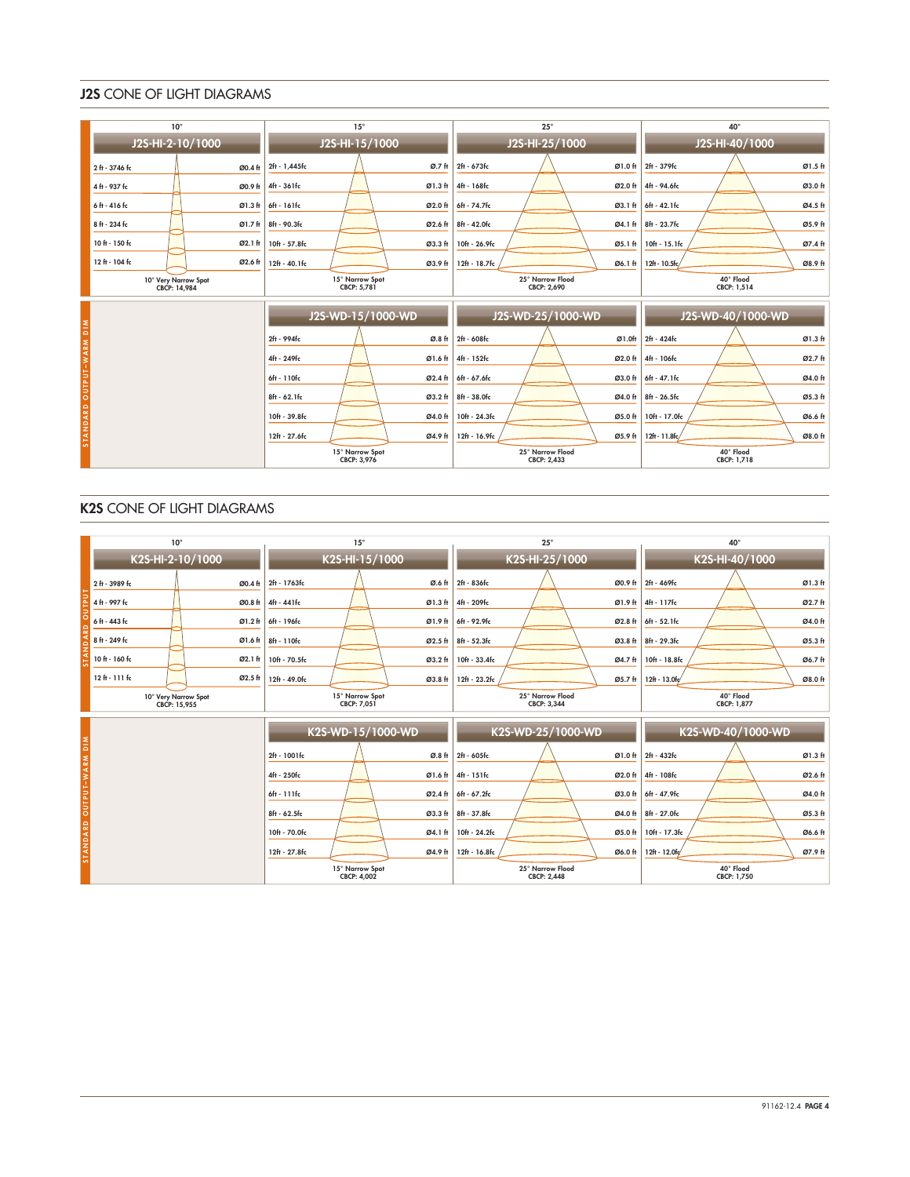# J2S CONE OF LIGHT DIAGRAMS

|                          | $10^{\circ}$                         |         | $15^{\circ}$                   |                          |               | $25^\circ$                      |                           | $40^{\circ}$             |         |  |  |
|--------------------------|--------------------------------------|---------|--------------------------------|--------------------------|---------------|---------------------------------|---------------------------|--------------------------|---------|--|--|
|                          | J2S-HI-2-10/1000                     |         | J2S-HI-15/1000                 |                          |               | J2S-HI-25/1000                  |                           | J2S-HI-40/1000           |         |  |  |
|                          | 2 ft - 3746 fc                       | Ø0.4 ft | 2ft - 1,445fc                  | Ø.7 <sub>th</sub>        | 2ft - 673fc   |                                 | Ø1.0 ft                   | 2ft - 379fc              | Ø1.5 ft |  |  |
|                          | 4 ft - 937 fc                        | Ø0.9 ft | 4ft - 361fc                    | Ø1.3 ft                  | 4ft - 168fc   |                                 | Ø2.0 ft                   | 4ft - 94.6fc             | Ø3.0 ft |  |  |
|                          | 6ft - 416 fc                         | Ø1.3 ft | 6ft - 161fc                    | Ø2.0 ft                  | 6ft - 74.7fc  |                                 | Ø3.1 ft                   | 6ft - 42.1fc             | Ø4.5 ft |  |  |
|                          | 8 ft - 234 fc                        | Ø1.7 ft | 8ft - 90.3fc                   | Ø2.6 ft                  | 8ft - 42.0fc  |                                 | Ø4.1 ft                   | 8ft - 23.7fc             | Ø5.9 ft |  |  |
|                          | 10 ft - 150 fc                       | Ø2.1 ft | 10ft - 57.8fc                  | Ø3.3 ft                  | 10ft - 26.9fc |                                 | Ø5.1 ft                   | 10ft - 15.1fc            | Ø7.4 ft |  |  |
|                          | 12 ft - 104 fc                       | Ø2.6 ft | $12ft - 40.1fc$                | Ø3.9 ft                  | 12ft - 18.7fc |                                 | Ø6.1 ft                   | 12ft - 10.5fc/           | Ø8.9 ft |  |  |
|                          | 10° Very Narrow Spot<br>CBCP: 14,984 |         | 15° Narrow Spot<br>CBCP: 5,781 |                          |               | 25° Narrow Flood<br>CBCP: 2,690 |                           | 40° Flood<br>CBCP: 1,514 |         |  |  |
|                          |                                      |         | J2S-WD-15/1000-WD              |                          |               | J2S-WD-25/1000-WD               |                           | J2S-WD-40/1000-WD        |         |  |  |
| STANDARD OUTPUT-WARM DIM |                                      |         | 2ft - 994fc                    | Ø.8 ft                   | 2ft - 608fc   |                                 | Ø1.0ft                    | 2ft - 424fc              | Ø1.3 ft |  |  |
|                          |                                      |         | 4ft - 249fc                    | Ø1.6 ft                  | 4ft - 152fc   |                                 | Ø2.0 ft                   | 4ft - 106fc              | Ø2.7 ft |  |  |
|                          |                                      |         | 6ft - 110fc                    | Ø2.4 ft                  | 6ft - 67.6fc  |                                 | Ø3.0 ft                   | 6ft - 47.1fc             | Ø4.0 ft |  |  |
|                          |                                      |         | 8ft - 62.1fc                   | Ø3.2 ft                  | 8ft - 38.0fc  |                                 | Ø4.0 ft                   | 8ft - 26.5fc             | Ø5.3 ft |  |  |
|                          |                                      |         | 10ft - 39.8fc                  | Ø4.0 ft                  | 10ft - 24.3fc |                                 | Ø5.0 ft                   | 10ft - 17.0fc            | Ø6.6 ft |  |  |
|                          |                                      |         | 12ft - 27.6fc                  | 12ft - 16.9fc<br>Ø5.9 ft |               |                                 | 12ft - 11.8fc/<br>Ø8.0 ft |                          |         |  |  |
|                          |                                      |         | 15° Narrow Spot<br>CBCP: 3,976 |                          |               | 25° Narrow Flood<br>CBCP: 2.433 |                           | 40° Flood<br>CBCP: 1.718 |         |  |  |

# K2S CONE OF LIGHT DIAGRAMS

|                          | $10^{\circ}$                         | $15^\circ$                            | $25^{\circ}$                             | $40^{\circ}$             |  |  |  |
|--------------------------|--------------------------------------|---------------------------------------|------------------------------------------|--------------------------|--|--|--|
|                          | K2S-HI-2-10/1000                     | K2S-HI-15/1000                        | K2S-HI-25/1000                           | K2S-HI-40/1000           |  |  |  |
|                          | 2 ft - 3989 fc<br>Ø0.4 ft            | Ø.6 ft<br>2ft - 1763fc                | 2ft - 836fc<br>Ø0.9 ft                   | Ø1.3 ft<br>2ft - 469fc   |  |  |  |
|                          | 4 ft - 997 fc<br>Ø0.8 ft             | 4ft - 441fc<br>Ø1.3 ft                | 4ft - 209fc<br>Ø1.9 ft                   | Ø2.7 ft<br>4ft - 117fc   |  |  |  |
|                          | 6 ft - 443 fc<br>Ø1.2ft              | 6ft - 196fc<br>Ø1.9 ft                | 6ft - 92.9fc<br>Ø2.8 ft                  | 6ft - 52.1fc<br>Ø4.0 ft  |  |  |  |
|                          | 8 ft - 249 fc<br>Ø1.6 ft             | 8ft - 110fc<br>Ø2.5 ft                | 8ft - 52.3fc<br>$\varnothing$ 3.8 ft     | Ø5.3 ft<br>8ft - 29.3fc  |  |  |  |
|                          | 10 ft - 160 fc<br>Ø2.1 ft            | 10ft - 70.5fc<br>Ø3.2 ft              | 10ft - 33.4fc<br>Ø4.7 ft                 | Ø6.7 ft<br>10ft - 18.8fc |  |  |  |
|                          | $12th - 111th$<br>Ø2.5 ft            | 12ft - 49.0fc<br>Ø3.8 ft              | 12ft - 23.2fc<br>Ø5.7 ft                 | 12ft - 13.0fc<br>Ø8.0 ft |  |  |  |
|                          | 10° Very Narrow Spot<br>CBCP: 15.955 | 15° Narrow Spot<br>CBCP: 7.051        | 25° Narrow Flood<br>CBCP: 3.344          | 40° Flood<br>CBCP: 1.877 |  |  |  |
|                          |                                      | K2S-WD-15/1000-WD                     | K2S-WD-25/1000-WD                        | K2S-WD-40/1000-WD        |  |  |  |
| STANDARD OUTPUT-WARM DIM |                                      | 2ft - 1001fc                          | Ø.8 ft 2ft - 605fc<br>Ø1.0 <sub>ft</sub> | Ø1.3 ft<br>2ft - 432fc   |  |  |  |
|                          |                                      | 4ft - 250fc                           | Ø1.6 ft 4ft - 151fc<br>Ø2.0 ft           | 4ft - 108fc<br>Ø2.6 ft   |  |  |  |
|                          |                                      | 6ft - 111fc<br>Ø2.4 ft                | 6ft - 67.2fc<br>Ø3.0 ft                  | 6ft - 47.9fc<br>Ø4.0 ft  |  |  |  |
|                          |                                      | 8ft - 62.5fc<br>Ø3.3 ft               | 8ft - 37.8fc<br>Ø4.0 ft                  | Ø5.3 ft<br>8ft - 27.0fc  |  |  |  |
|                          |                                      | 10ft - 70.0fc<br>Ø4.1 ft              | 10ft - 24.2fc<br>Ø5.0 ft                 | 10ft - 17.3fc<br>Ø6.6 ft |  |  |  |
|                          |                                      | 12ft - 27.8fc<br>Ø4.9 ft              | 12ft - 16.8fc<br>Ø6.0 ft                 | 12ft - 12.0fc<br>Ø7.9 ft |  |  |  |
|                          |                                      | 15° Narrow Spot<br><b>CBCP: 4,002</b> | 25° Narrow Flood<br><b>CBCP: 2,448</b>   | 40° Flood<br>CBCP: 1,750 |  |  |  |